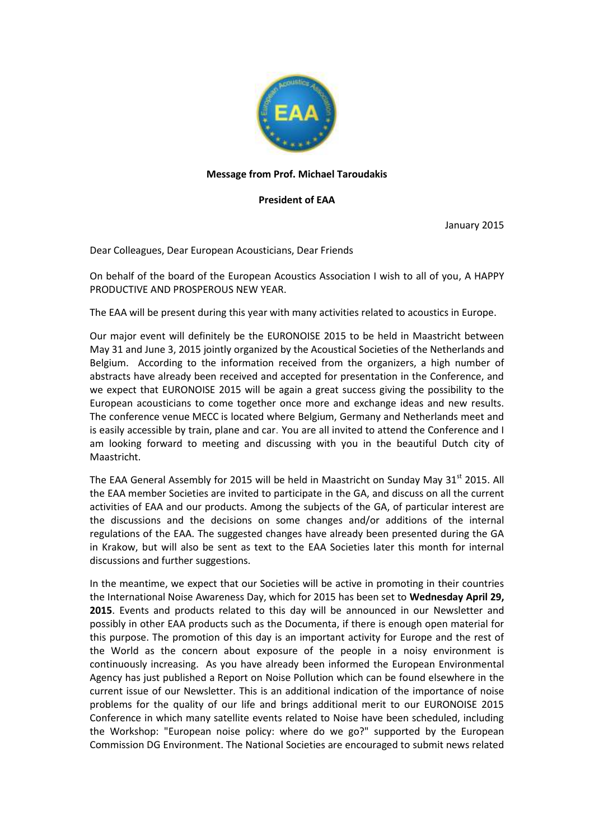

## **Message from Prof. Michael Taroudakis**

## **President of EAA**

January 2015

Dear Colleagues, Dear European Acousticians, Dear Friends

On behalf of the board of the European Acoustics Association I wish to all of you, A HAPPY PRODUCTIVE AND PROSPEROUS NEW YEAR.

The EAA will be present during this year with many activities related to acoustics in Europe.

Our major event will definitely be the EURONOISE 2015 to be held in Maastricht between May 31 and June 3, 2015 jointly organized by the Acoustical Societies of the Netherlands and Belgium. According to the information received from the organizers, a high number of abstracts have already been received and accepted for presentation in the Conference, and we expect that EURONOISE 2015 will be again a great success giving the possibility to the European acousticians to come together once more and exchange ideas and new results. The conference venue [MECC](http://www.mecc.nl/en) is located where Belgium, Germany and Netherlands meet and is easily accessible by train, plane and car. You are all invited to attend the Conference and I am looking forward to meeting and discussing with you in the beautiful Dutch city of Maastricht.

The EAA General Assembly for 2015 will be held in Maastricht on Sunday May 31<sup>st</sup> 2015. All the EAA member Societies are invited to participate in the GA, and discuss on all the current activities of EAA and our products. Among the subjects of the GA, of particular interest are the discussions and the decisions on some changes and/or additions of the internal regulations of the EAA. The suggested changes have already been presented during the GA in Krakow, but will also be sent as text to the EAA Societies later this month for internal discussions and further suggestions.

In the meantime, we expect that our Societies will be active in promoting in their countries the International Noise Awareness Day, which for 2015 has been set to **Wednesday April 29, 2015**. Events and products related to this day will be announced in our Newsletter and possibly in other EAA products such as the Documenta, if there is enough open material for this purpose. The promotion of this day is an important activity for Europe and the rest of the World as the concern about exposure of the people in a noisy environment is continuously increasing. As you have already been informed the European Environmental Agency has just published a Report on Noise Pollution which can be found elsewhere in the current issue of our Newsletter. This is an additional indication of the importance of noise problems for the quality of our life and brings additional merit to our EURONOISE 2015 Conference in which many satellite events related to Noise have been scheduled, including the Workshop: "European noise policy: where do we go?" supported by the European Commission DG Environment. The National Societies are encouraged to submit news related